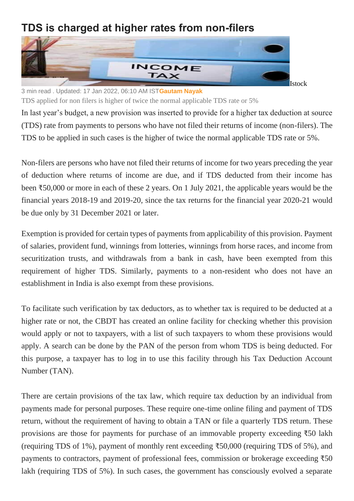## **TDS is charged at higher rates from non-filers**



3 min read . Updated: 17 Jan 2022, 06:10 AM IST**[Gautam Nayak](https://www.livemint.com/Search/Link/Author/Gautam-Nayak)**

TDS applied for non filers is higher of twice the normal applicable TDS rate or 5%

In last year's budget, a new provision was inserted to provide for a higher tax deduction at source (TDS) rate from payments to persons who have not filed their returns of income (non-filers). The TDS to be applied in such cases is the higher of twice the normal applicable TDS rate or 5%.

Non-filers are persons who have not filed their returns of income for two years preceding the year of deduction where returns of income are due, and if TDS deducted from their income has been ₹50,000 or more in each of these 2 years. On 1 July 2021, the applicable years would be the financial years 2018-19 and 2019-20, since the tax returns for the financial year 2020-21 would be due only by 31 December 2021 or later.

Exemption is provided for certain types of payments from applicability of this provision. Payment of salaries, provident fund, winnings from lotteries, winnings from horse races, and income from securitization trusts, and withdrawals from a bank in cash, have been exempted from this requirement of higher TDS. Similarly, payments to a non-resident who does not have an establishment in India is also exempt from these provisions.

To facilitate such verification by tax deductors, as to whether tax is required to be deducted at a higher rate or not, the CBDT has created an online facility for checking whether this provision would apply or not to taxpayers, with a list of such taxpayers to whom these provisions would apply. A search can be done by the PAN of the person from whom TDS is being deducted. For this purpose, a taxpayer has to log in to use this facility through his Tax Deduction Account Number (TAN).

There are certain provisions of the tax law, which require tax deduction by an individual from payments made for personal purposes. These require one-time online filing and payment of TDS return, without the requirement of having to obtain a TAN or file a quarterly TDS return. These provisions are those for payments for purchase of an immovable property exceeding ₹50 lakh (requiring TDS of 1%), payment of monthly rent exceeding ₹50,000 (requiring TDS of 5%), and payments to contractors, payment of professional fees, commission or brokerage exceeding ₹50 lakh (requiring TDS of 5%). In such cases, the government has consciously evolved a separate